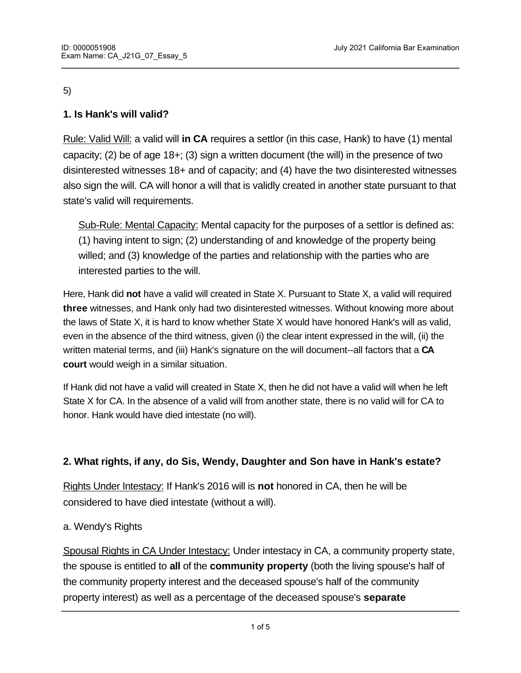#### 5)

# **1. Is Hank's will valid?**

Rule: Valid Will: a valid will **in CA** requires a settlor (in this case, Hank) to have (1) mental capacity; (2) be of age 18+; (3) sign a written document (the will) in the presence of two disinterested witnesses 18+ and of capacity; and (4) have the two disinterested witnesses also sign the will. CA will honor a will that is validly created in another state pursuant to that state's valid will requirements.

Sub-Rule: Mental Capacity: Mental capacity for the purposes of a settlor is defined as: (1) having intent to sign; (2) understanding of and knowledge of the property being willed; and (3) knowledge of the parties and relationship with the parties who are interested parties to the will.

Here, Hank did **not** have a valid will created in State X. Pursuant to State X, a valid will required **three** witnesses, and Hank only had two disinterested witnesses. Without knowing more about the laws of State X, it is hard to know whether State X would have honored Hank's will as valid, even in the absence of the third witness, given (i) the clear intent expressed in the will, (ii) the written material terms, and (iii) Hank's signature on the will document--all factors that a **CA court** would weigh in a similar situation.

If Hank did not have a valid will created in State X, then he did not have a valid will when he left State X for CA. In the absence of a valid will from another state, there is no valid will for CA to honor. Hank would have died intestate (no will).

## **2. What rights, if any, do Sis, Wendy, Daughter and Son have in Hank's estate?**

Rights Under Intestacy: If Hank's 2016 will is **not** honored in CA, then he will be considered to have died intestate (without a will).

### a. Wendy's Rights

Spousal Rights in CA Under Intestacy: Under intestacy in CA, a community property state, the spouse is entitled to **all** of the **community property** (both the living spouse's half of the community property interest and the deceased spouse's half of the community property interest) as well as a percentage of the deceased spouse's **separate**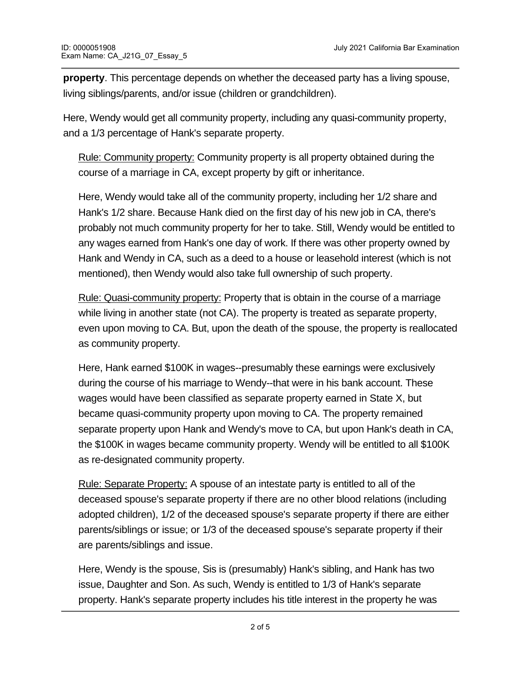**property**. This percentage depends on whether the deceased party has a living spouse, living siblings/parents, and/or issue (children or grandchildren).

Here, Wendy would get all community property, including any quasi-community property, and a 1/3 percentage of Hank's separate property.

Rule: Community property: Community property is all property obtained during the course of a marriage in CA, except property by gift or inheritance.

Here, Wendy would take all of the community property, including her 1/2 share and Hank's 1/2 share. Because Hank died on the first day of his new job in CA, there's probably not much community property for her to take. Still, Wendy would be entitled to any wages earned from Hank's one day of work. If there was other property owned by Hank and Wendy in CA, such as a deed to a house or leasehold interest (which is not mentioned), then Wendy would also take full ownership of such property.

Rule: Quasi-community property: Property that is obtain in the course of a marriage while living in another state (not CA). The property is treated as separate property, even upon moving to CA. But, upon the death of the spouse, the property is reallocated as community property.

Here, Hank earned \$100K in wages--presumably these earnings were exclusively during the course of his marriage to Wendy--that were in his bank account. These wages would have been classified as separate property earned in State X, but became quasi-community property upon moving to CA. The property remained separate property upon Hank and Wendy's move to CA, but upon Hank's death in CA, the \$100K in wages became community property. Wendy will be entitled to all \$100K as re-designated community property.

Rule: Separate Property: A spouse of an intestate party is entitled to all of the deceased spouse's separate property if there are no other blood relations (including adopted children), 1/2 of the deceased spouse's separate property if there are either parents/siblings or issue; or 1/3 of the deceased spouse's separate property if their are parents/siblings and issue.

Here, Wendy is the spouse, Sis is (presumably) Hank's sibling, and Hank has two issue, Daughter and Son. As such, Wendy is entitled to 1/3 of Hank's separate property. Hank's separate property includes his title interest in the property he was

devised by his mother. Wendy will be entitled to a 1/3 interest in this property.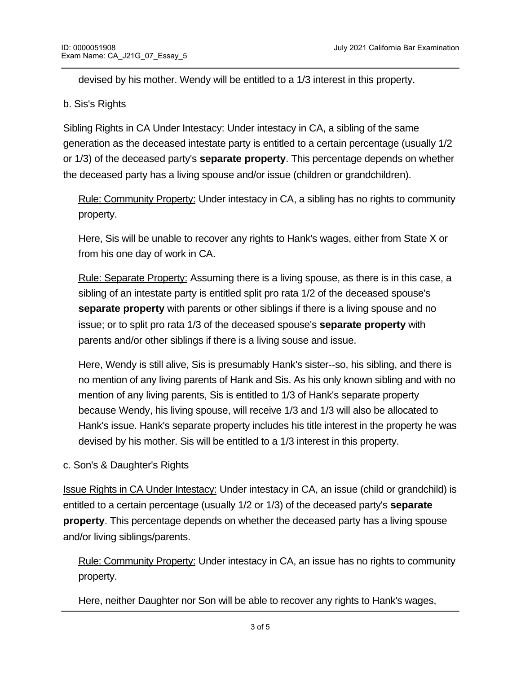devised by his mother. Wendy will be entitled to a 1/3 interest in this property.

### b. Sis's Rights

Sibling Rights in CA Under Intestacy: Under intestacy in CA, a sibling of the same generation as the deceased intestate party is entitled to a certain percentage (usually 1/2 or 1/3) of the deceased party's **separate property**. This percentage depends on whether the deceased party has a living spouse and/or issue (children or grandchildren).

Rule: Community Property: Under intestacy in CA, a sibling has no rights to community property.

Here, Sis will be unable to recover any rights to Hank's wages, either from State X or from his one day of work in CA.

Rule: Separate Property: Assuming there is a living spouse, as there is in this case, a sibling of an intestate party is entitled split pro rata 1/2 of the deceased spouse's **separate property** with parents or other siblings if there is a living spouse and no issue; or to split pro rata 1/3 of the deceased spouse's **separate property** with parents and/or other siblings if there is a living souse and issue.

Here, Wendy is still alive, Sis is presumably Hank's sister--so, his sibling, and there is no mention of any living parents of Hank and Sis. As his only known sibling and with no mention of any living parents, Sis is entitled to 1/3 of Hank's separate property because Wendy, his living spouse, will receive 1/3 and 1/3 will also be allocated to Hank's issue. Hank's separate property includes his title interest in the property he was devised by his mother. Sis will be entitled to a 1/3 interest in this property.

c. Son's & Daughter's Rights

Issue Rights in CA Under Intestacy: Under intestacy in CA, an issue (child or grandchild) is entitled to a certain percentage (usually 1/2 or 1/3) of the deceased party's **separate property**. This percentage depends on whether the deceased party has a living spouse and/or living siblings/parents.

Rule: Community Property: Under intestacy in CA, an issue has no rights to community property.

Here, neither Daughter nor Son will be able to recover any rights to Hank's wages,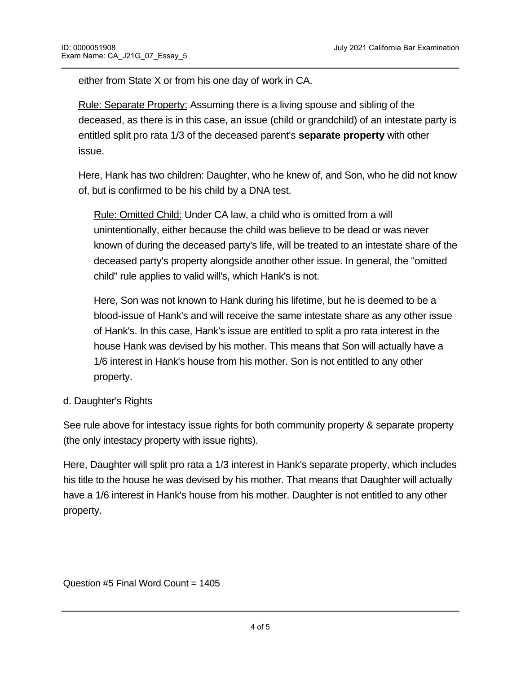either from State X or from his one day of work in CA.

Rule: Separate Property: Assuming there is a living spouse and sibling of the deceased, as there is in this case, an issue (child or grandchild) of an intestate party is entitled split pro rata 1/3 of the deceased parent's **separate property** with other issue.

Here, Hank has two children: Daughter, who he knew of, and Son, who he did not know of, but is confirmed to be his child by a DNA test.

Rule: Omitted Child: Under CA law, a child who is omitted from a will unintentionally, either because the child was believe to be dead or was never known of during the deceased party's life, will be treated to an intestate share of the deceased party's property alongside another other issue. In general, the "omitted child" rule applies to valid will's, which Hank's is not.

Here, Son was not known to Hank during his lifetime, but he is deemed to be a blood-issue of Hank's and will receive the same intestate share as any other issue of Hank's. In this case, Hank's issue are entitled to split a pro rata interest in the house Hank was devised by his mother. This means that Son will actually have a 1/6 interest in Hank's house from his mother. Son is not entitled to any other property.

### d. Daughter's Rights

See rule above for intestacy issue rights for both community property & separate property (the only intestacy property with issue rights).

Here, Daughter will split pro rata a 1/3 interest in Hank's separate property, which includes his title to the house he was devised by his mother. That means that Daughter will actually have a 1/6 interest in Hank's house from his mother. Daughter is not entitled to any other property.

Question #5 Final Word Count = 1405

**END OF EXAMPLE 200**